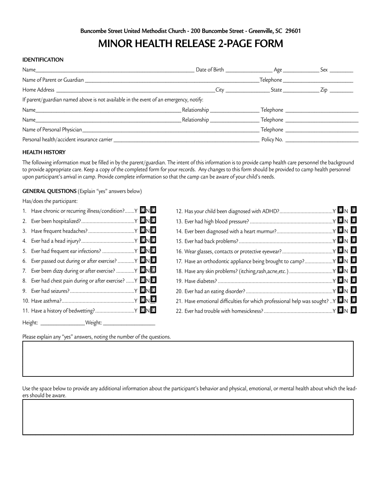# **MINOR HEALTH RELEASE 2-PAGE FORM**

### **IDENTIFICATION**

|                                                                                       |                             | $\begin{tabular}{c} \textbf{Telephone}\footnotesize \textcolor{red}{\textbf{12.12}}\end{tabular}$ |  |  |  |
|---------------------------------------------------------------------------------------|-----------------------------|---------------------------------------------------------------------------------------------------|--|--|--|
|                                                                                       |                             |                                                                                                   |  |  |  |
| If parent/guardian named above is not available in the event of an emergency, notify: |                             |                                                                                                   |  |  |  |
|                                                                                       | Relationship ______________ | _Telephone ______________                                                                         |  |  |  |
|                                                                                       |                             |                                                                                                   |  |  |  |
|                                                                                       |                             |                                                                                                   |  |  |  |
|                                                                                       |                             | Policy No.                                                                                        |  |  |  |

#### **HEALTH HISTORY**

The following information must be filled in by the parent/guardian. The intent of this information is to provide camp health care personnel the background to provide appropriate care. Keep a copy of the completed form for your records. Any changes to this form should be provided to camp health personnel upon participant's arrival in camp. Provide complete information so that the camp can be aware of your child's needs.

#### **GENERAL QUESTIONS** (Explain "yes" answers below)

Has/does the participant:

| 1. Have chronic or recurring illness/condition? Y ND                                |                                                                                            |  |  |
|-------------------------------------------------------------------------------------|--------------------------------------------------------------------------------------------|--|--|
|                                                                                     |                                                                                            |  |  |
|                                                                                     |                                                                                            |  |  |
|                                                                                     |                                                                                            |  |  |
| 5. Ever had frequent ear infections?  Y                                             |                                                                                            |  |  |
| 6. Ever passed out during or after exercise? Y NU                                   | 17. Have an orthodontic appliance being brought to camp? $Y \blacksquare N \blacksquare$   |  |  |
| 7. Ever been dizzy during or after exercise?  Y                                     |                                                                                            |  |  |
| 8. Ever had chest pain during or after exercise? $Y \blacksquare \neg \blacksquare$ |                                                                                            |  |  |
|                                                                                     |                                                                                            |  |  |
|                                                                                     | 21. Have emotional difficulties for which professional help was sought?  Y $\Box N$ $\Box$ |  |  |
|                                                                                     |                                                                                            |  |  |
|                                                                                     |                                                                                            |  |  |

Please explain any "yes" answers, noting the number of the questions.

Use the space below to provide any additional information about the participant's behavior and physical, emotional, or mental health about which the leaders should be aware.  $\Box$  and the contribution of the contribution of the contribution of the contribution of the contribution of the contribution of the contribution of the contribution of the contribution of the contribution of the contribu

 $\Box$  and the contribution of the contribution of the contribution of the contribution of the contribution of the contribution of the contribution of the contribution of the contribution of the contribution of the contribu  $\Box$  and the contribution of the contribution of the contribution of the contribution of the contribution of the contribution of the contribution of the contribution of the contribution of the contribution of the contribu  $\mathcal{L}_\text{max} = \mathcal{L}_\text{max} = \mathcal{L}_\text{max} = \mathcal{L}_\text{max} = \mathcal{L}_\text{max} = \mathcal{L}_\text{max} = \mathcal{L}_\text{max} = \mathcal{L}_\text{max} = \mathcal{L}_\text{max} = \mathcal{L}_\text{max} = \mathcal{L}_\text{max} = \mathcal{L}_\text{max} = \mathcal{L}_\text{max} = \mathcal{L}_\text{max} = \mathcal{L}_\text{max} = \mathcal{L}_\text{max} = \mathcal{L}_\text{max} = \mathcal{L}_\text{max} = \mathcal{$ 

 $\Box$  . The contract of the contract of the contract of the contract of the contract of the contract of the contract of  $\Box$  . The contract of the contract of the contract of the contract of the contract of the contract of the contract of  $\Box$  . The contract of the contract of the contract of the contract of the contract of the contract of the contract of \_\_\_\_\_\_\_\_\_\_\_\_\_\_\_\_\_\_\_\_\_\_\_\_\_\_\_\_\_\_\_\_\_\_\_\_\_\_\_\_\_\_\_\_\_\_\_\_\_\_\_\_\_\_\_\_\_\_\_\_\_\_\_\_\_\_\_\_\_\_\_\_\_\_\_\_\_\_\_\_\_\_\_\_\_\_\_\_\_\_\_\_\_\_\_\_\_\_\_\_\_\_\_\_\_\_\_\_\_\_\_\_\_\_\_\_\_\_\_\_\_\_\_\_\_\_\_